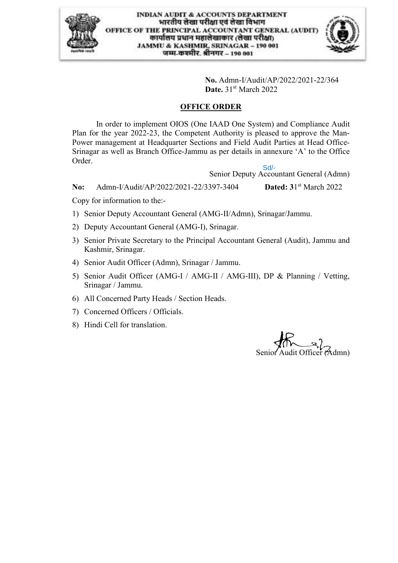

**No.** Admn-I/Audit/AP/2022/2021-22/364 **Date.** 31<sup>st</sup> March 2022

#### **OFFICE ORDER**

In order to implement OIOS (One IAAD One System) and Compliance Audit Plan for the year 2022-23, the Competent Authority is pleased to approve the Man-Power management at Headquarter Sections and Field Audit Parties at Head Office-Srinagar as well as Branch Office-Jammu as per details in annexure 'A' to the Office Order. Sd/-

Senior Deputy Accountant General (Admn)

**No:** Admn-I/Audit/AP/2022/2021-22/3397-3404 Dated:  $31<sup>st</sup> March 2022$ 

Copy for information to the:-

- 1) Senior Deputy Accountant General (AMG-II/Admn), Srinagar/Jammu.
- 2) Deputy Accountant General (AMG-I), Srinagar.
- 3) Senior Private Secretary to the Principal Accountant General (Audit), Jammu and Kashmir, Srinagar.
- 4) Senior Audit Officer (Admn), Srinagar / Jammu.
- 5) Senior Audit Officer (AMG-I / AMG-II / AMG-III), DP & Planning / Vetting, Srinagar / Jammu.
- 6) All Concerned Party Heads / Section Heads.
- 7) Concerned Officers / Officials.
- 8) Hindi Cell for translation.

Senior Audit Officer (Admn)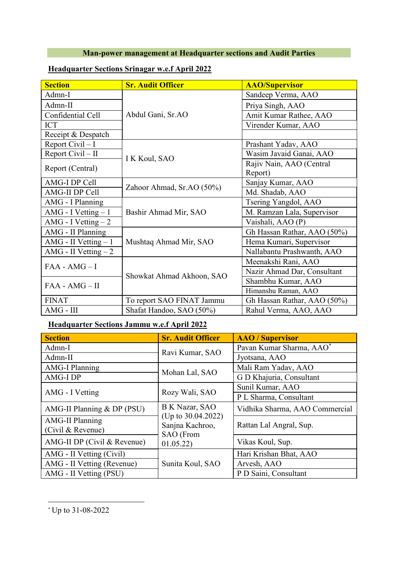## **Man-power management at Headquarter sections and Audit Parties**

| <b>Section</b>        | <b>Sr. Audit Officer</b>  | <b>AAO/Supervisor</b>       |  |
|-----------------------|---------------------------|-----------------------------|--|
| Admn-I                |                           | Sandeep Verma, AAO          |  |
| Admn-II               |                           | Priya Singh, AAO            |  |
| Confidential Cell     | Abdul Gani, Sr.AO         | Amit Kumar Rathee, AAO      |  |
| <b>ICT</b>            |                           | Virender Kumar, AAO         |  |
| Receipt & Despatch    |                           |                             |  |
| Report Civil $-I$     |                           | Prashant Yadav, AAO         |  |
| Report Civil $-$ II   | I K Koul, SAO             | Wasim Javaid Ganai, AAO     |  |
| Report (Central)      |                           | Rajiv Nain, AAO (Central    |  |
|                       |                           | Report)                     |  |
| AMG-I DP Cell         | Zahoor Ahmad, Sr.AO (50%) | Sanjay Kumar, AAO           |  |
| AMG-II DP Cell        |                           | Md. Shadab, AAO             |  |
| AMG - I Planning      |                           | Tsering Yangdol, AAO        |  |
| AMG - I Vetting $-1$  | Bashir Ahmad Mir, SAO     | M. Ramzan Lala, Supervisor  |  |
| AMG - I Vetting $-2$  |                           | Vaishali, AAO (P)           |  |
| AMG - II Planning     |                           | Gh Hassan Rathar, AAO (50%) |  |
| AMG - II Vetting $-1$ | Mushtaq Ahmad Mir, SAO    | Hema Kumari, Supervisor     |  |
| AMG - II Vetting $-2$ |                           | Nallabantu Prashwanth, AAO  |  |
|                       |                           | Meenakshi Rani, AAO         |  |
| $FAA - AMG - I$       |                           | Nazir Ahmad Dar, Consultant |  |
| $FAA - AMG - II$      | Showkat Ahmad Akhoon, SAO | Shambhu Kumar, AAO          |  |
|                       |                           | Himanshu Raman, AAO         |  |
| <b>FINAT</b>          | To report SAO FINAT Jammu | Gh Hassan Rathar, AAO (50%) |  |
| AMG - III             | Shafat Handoo, SAO (50%)  | Rahul Verma, AAO, AAO       |  |

### **Headquarter Sections Srinagar w.e.f April 2022**

#### **Headquarter Sections Jammu w.e.f April 2022**

| <b>Section</b>                              | <b>Sr. Audit Officer</b>                              | <b>AAO</b> / Supervisor        |  |
|---------------------------------------------|-------------------------------------------------------|--------------------------------|--|
| Admn-I                                      | Ravi Kumar, SAO                                       | Pavan Kumar Sharma, AAO*       |  |
| Admn-II                                     |                                                       | Jyotsana, AAO                  |  |
| <b>AMG-I Planning</b>                       | Mohan Lal, SAO                                        | Mali Ram Yadav, AAO            |  |
| AMG-I DP                                    |                                                       | G D Khajuria, Consultant       |  |
| AMG - I Vetting                             | Rozy Wali, SAO                                        | Sunil Kumar, AAO               |  |
|                                             |                                                       | P L Sharma, Consultant         |  |
| AMG-II Planning & DP (PSU)                  | B K Nazar, SAO                                        | Vidhika Sharma, AAO Commercial |  |
| <b>AMG-II Planning</b><br>(Civil & Revenue) | (Up to $30.04.2022$ )<br>Sanjna Kachroo,<br>SAO (From | Rattan Lal Angral, Sup.        |  |
| AMG-II DP (Civil & Revenue)                 | 01.05.22)                                             | Vikas Koul, Sup.               |  |
| AMG - II Vetting (Civil)                    |                                                       | Hari Krishan Bhat, AAO         |  |
| AMG - II Vetting (Revenue)                  | Sunita Koul, SAO                                      | Arvesh, AAO                    |  |
| AMG - II Vetting (PSU)                      |                                                       | P D Saini, Consultant          |  |

<sup>\*</sup> Up to 31-08-2022

1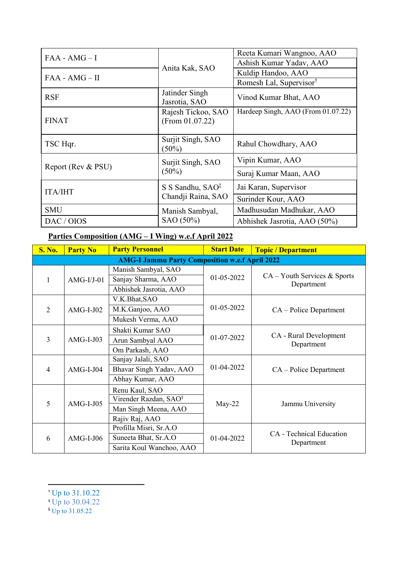| $FAA - AMG - I$    |                                       | Reeta Kumari Wangnoo, AAO<br>Ashish Kumar Yadav, AAO |  |
|--------------------|---------------------------------------|------------------------------------------------------|--|
|                    | Anita Kak, SAO                        | Kuldip Handoo, AAO                                   |  |
| $FAA - AMG - II$   |                                       | Romesh Lal, Supervisor <sup>†</sup>                  |  |
| <b>RSF</b>         | Jatinder Singh<br>Jasrotia, SAO       | Vinod Kumar Bhat, AAO                                |  |
| <b>FINAT</b>       | Rajesh Tickoo, SAO<br>(From 01.07.22) | Hardeep Singh, AAO (From 01.07.22)                   |  |
| TSC Hqr.           | Surjit Singh, SAO<br>$(50\%)$         | Rahul Chowdhary, AAO                                 |  |
|                    | Surjit Singh, SAO                     | Vipin Kumar, AAO                                     |  |
| Report (Rev & PSU) | $(50\%)$                              | Suraj Kumar Maan, AAO                                |  |
| <b>ITA/IHT</b>     | S S Sandhu, SAO <sup>‡</sup>          | Jai Karan, Supervisor                                |  |
|                    | Chandji Raina, SAO                    | Surinder Kour, AAO                                   |  |
| <b>SMU</b>         | Manish Sambyal,                       | Madhusudan Madhukar, AAO                             |  |
| DAC / OIOS         | SAO (50%)                             | Abhishek Jasrotia, AAO (50%)                         |  |

## **Parties Composition (AMG – I Wing) w.e.f April 2022**

| <b>S. No.</b>  | <b>Party No</b> | <b>Party Personnel</b>                                | <b>Start Date</b> | <b>Topic / Department</b>                    |
|----------------|-----------------|-------------------------------------------------------|-------------------|----------------------------------------------|
|                |                 | <b>AMG-I Jammu Party Composition w.e.f April 2022</b> |                   |                                              |
|                |                 | Manish Sambyal, SAO                                   |                   |                                              |
| 1              | $AMG-I/J-01$    | Sanjay Sharma, AAO                                    | 01-05-2022        | $CA - Youth Services & Sports$<br>Department |
|                |                 | Abhishek Jasrotia, AAO                                |                   |                                              |
|                |                 | V.K.Bhat, SAO                                         |                   |                                              |
| 2              | $AMG-I-J02$     | M.K.Ganjoo, AAO                                       | 01-05-2022        | CA – Police Department                       |
|                |                 | Mukesh Verma, AAO                                     |                   |                                              |
|                |                 | Shakti Kumar SAO                                      |                   |                                              |
| $\overline{3}$ | $AMG-I-J03$     | Arun Sambyal AAO                                      | 01-07-2022        | CA - Rural Development<br>Department         |
|                |                 | Om Parkash, AAO                                       |                   |                                              |
|                | $AMG-I-J04$     | Sanjay Jalali, SAO                                    |                   | CA – Police Department                       |
| $\overline{4}$ |                 | Bhavar Singh Yadav, AAO                               | 01-04-2022        |                                              |
|                |                 | Abhay Kumar, AAO                                      |                   |                                              |
|                |                 | Renu Kaul, SAO                                        |                   |                                              |
| 5              | $AMG-I-J05$     | Virender Razdan, SAO <sup>§</sup>                     |                   | Jammu University                             |
|                |                 | Man Singh Meena, AAO                                  | $May-22$          |                                              |
|                |                 | Rajiv Raj, AAO                                        |                   |                                              |
|                |                 | Profilla Misri, Sr.A.O                                |                   |                                              |
| 6              | $AMG-I-J06$     | Suneeta Bhat, Sr.A.O                                  | 01-04-2022        | CA - Technical Education<br>Department       |
|                |                 | Sarita Koul Wanchoo, AAO                              |                   |                                              |

- ‡ Up to 30.04.22
- § Up to 31.05.22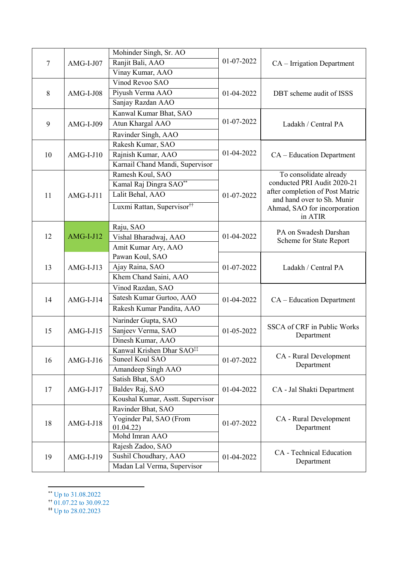|        | $AMG-I-J07$ | Mohinder Singh, Sr. AO                 |            | CA - Irrigation Department                                 |  |
|--------|-------------|----------------------------------------|------------|------------------------------------------------------------|--|
| $\tau$ |             | Ranjit Bali, AAO                       | 01-07-2022 |                                                            |  |
|        |             | Vinay Kumar, AAO                       |            |                                                            |  |
|        |             | Vinod Revoo SAO                        |            |                                                            |  |
| 8      | $AMG-I-J08$ | Piyush Verma AAO                       | 01-04-2022 | DBT scheme audit of ISSS                                   |  |
|        |             | Sanjay Razdan AAO                      |            |                                                            |  |
|        |             | Kanwal Kumar Bhat, SAO                 |            |                                                            |  |
| 9      | $AMG-I-J09$ | Atun Khargal AAO                       | 01-07-2022 | Ladakh / Central PA                                        |  |
|        |             | Ravinder Singh, AAO                    |            |                                                            |  |
|        |             | Rakesh Kumar, SAO                      |            |                                                            |  |
| 10     | $AMG-I-J10$ | Rajnish Kumar, AAO                     | 01-04-2022 | $CA - Education Department$                                |  |
|        |             | Karnail Chand Mandi, Supervisor        |            |                                                            |  |
|        |             | Ramesh Koul, SAO                       |            | To consolidate already                                     |  |
|        |             | Kamal Raj Dingra SAO**                 |            | conducted PRI Audit 2020-21                                |  |
| 11     | $AMG-I-I11$ | Lalit Behal, AAO                       | 01-07-2022 | after completion of Post Matric                            |  |
|        |             | Luxmi Rattan, Supervisor <sup>††</sup> |            | and hand over to Sh. Munir<br>Ahmad, SAO for incorporation |  |
|        |             |                                        |            | in ATIR                                                    |  |
|        |             | Raju, SAO                              |            |                                                            |  |
| 12     | $AMG-I-J12$ | Vishal Bharadwaj, AAO                  | 01-04-2022 | PA on Swadesh Darshan                                      |  |
|        |             | Amit Kumar Ary, AAO                    |            | Scheme for State Report                                    |  |
|        | $AMG-I-J13$ | Pawan Koul, SAO                        |            |                                                            |  |
| 13     |             | Ajay Raina, SAO                        | 01-07-2022 | Ladakh / Central PA                                        |  |
|        |             | Khem Chand Saini, AAO                  |            |                                                            |  |
|        |             | Vinod Razdan, SAO                      |            |                                                            |  |
| 14     | $AMG-I-J14$ | Satesh Kumar Gurtoo, AAO               | 01-04-2022 | CA – Education Department                                  |  |
|        |             | Rakesh Kumar Pandita, AAO              |            |                                                            |  |
|        |             | Narinder Gupta, SAO                    |            |                                                            |  |
| 15     | $AMG-I-J15$ | Sanjeev Verma, SAO                     | 01-05-2022 | <b>SSCA of CRF</b> in Public Works                         |  |
|        |             | Dinesh Kumar, AAO                      |            | Department                                                 |  |
|        |             | Kanwal Krishen Dhar SAO <sup>‡‡</sup>  |            |                                                            |  |
| 16     | $AMG-I-I16$ | Suneel Koul SAO                        | 01-07-2022 | CA - Rural Development                                     |  |
|        |             | Amandeep Singh AAO                     |            | Department                                                 |  |
|        |             | Satish Bhat, SAO                       |            |                                                            |  |
| 17     | $AMG-I-J17$ | Baldev Raj, SAO                        | 01-04-2022 | CA - Jal Shakti Department                                 |  |
|        |             | Koushal Kumar, Asstt. Supervisor       |            |                                                            |  |
|        |             | Ravinder Bhat, SAO                     |            |                                                            |  |
|        |             | Yoginder Pal, SAO (From                |            | CA - Rural Development                                     |  |
| 18     | $AMG-I-I18$ | 01.04.22)                              | 01-07-2022 | Department                                                 |  |
|        |             | Mohd Imran AAO                         |            |                                                            |  |
|        |             | Rajesh Zadoo, SAO                      |            |                                                            |  |
| 19     | $AMG-I-J19$ | Sushil Choudhary, AAO                  | 01-04-2022 | CA - Technical Education<br>Department                     |  |
|        |             | Madan Lal Verma, Supervisor            |            |                                                            |  |

<sup>\*\*</sup> Up to 31.08.2022

.

‡‡ Up to 28.02.2023

<sup>††</sup> 01.07.22 to 30.09.22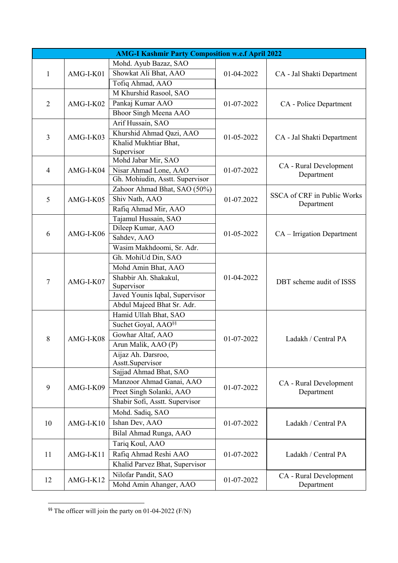|                |             | <b>AMG-I Kashmir Party Composition w.e.f April 2022</b> |            |                                      |
|----------------|-------------|---------------------------------------------------------|------------|--------------------------------------|
|                |             | Mohd. Ayub Bazaz, SAO                                   |            |                                      |
| $\mathbf{1}$   | AMG-I-K01   | Showkat Ali Bhat, AAO                                   | 01-04-2022 | CA - Jal Shakti Department           |
|                |             | Tofiq Ahmad, AAO                                        |            |                                      |
|                |             | M Khurshid Rasool, SAO                                  |            |                                      |
| $\overline{2}$ | AMG-I-K02   | Pankaj Kumar AAO                                        | 01-07-2022 | CA - Police Department               |
|                |             | Bhoor Singh Meena AAO                                   |            |                                      |
|                |             | Arif Hussain, SAO                                       |            |                                      |
|                |             | Khurshid Ahmad Qazi, AAO                                |            |                                      |
| 3              | AMG-I-K03   | Khalid Mukhtiar Bhat,                                   | 01-05-2022 | CA - Jal Shakti Department           |
|                |             | Supervisor                                              |            |                                      |
|                |             | Mohd Jabar Mir, SAO                                     |            |                                      |
| $\overline{4}$ | AMG-I-K04   | Nisar Ahmad Lone, AAO                                   | 01-07-2022 | CA - Rural Development<br>Department |
|                |             | Gh. Mohiudin, Asstt. Supervisor                         |            |                                      |
|                |             | Zahoor Ahmad Bhat, SAO (50%)                            |            | <b>SSCA of CRF</b> in Public Works   |
| 5              | AMG-I-K05   | Shiv Nath, AAO                                          | 01-07.2022 | Department                           |
|                |             | Rafiq Ahmad Mir, AAO                                    |            |                                      |
|                |             | Tajamul Hussain, SAO                                    |            |                                      |
| 6              | AMG-I-K06   | Dileep Kumar, AAO                                       | 01-05-2022 |                                      |
|                |             | Sahdev, AAO                                             |            | CA – Irrigation Department           |
|                |             | Wasim Makhdoomi, Sr. Adr.                               |            |                                      |
|                | AMG-I-K07   | Gh. MohiUd Din, SAO                                     |            |                                      |
|                |             | Mohd Amin Bhat, AAO                                     |            |                                      |
| $\tau$         |             | Shabbir Ah. Shakakul,                                   | 01-04-2022 | DBT scheme audit of ISSS             |
|                |             | Supervisor                                              |            |                                      |
|                |             | Javed Younis Iqbal, Supervisor                          |            |                                      |
|                |             | Abdul Majeed Bhat Sr. Adr.                              |            |                                      |
|                |             | Hamid Ullah Bhat, SAO                                   |            |                                      |
|                |             | Suchet Goyal, AAO <sup>§§</sup>                         |            |                                      |
| 8              | AMG-I-K08   | Gowhar Altaf, AAO                                       | 01-07-2022 | Ladakh / Central PA                  |
|                |             | Arun Malik, AAO (P)                                     |            |                                      |
|                |             | Aijaz Ah. Darsroo,                                      |            |                                      |
|                |             | Asstt.Supervisor                                        |            |                                      |
|                |             | Sajjad Ahmad Bhat, SAO                                  |            |                                      |
| 9              | AMG-I-K09   | Manzoor Ahmad Ganai, AAO                                | 01-07-2022 | CA - Rural Development               |
|                |             | Preet Singh Solanki, AAO                                |            | Department                           |
|                |             | Shabir Sofi, Asstt. Supervisor                          |            |                                      |
|                |             | Mohd. Sadiq, SAO                                        |            |                                      |
| 10             | $AMG-I-K10$ | Ishan Dev, AAO                                          | 01-07-2022 | Ladakh / Central PA                  |
|                |             | Bilal Ahmad Runga, AAO                                  |            |                                      |
|                |             | Tariq Koul, AAO                                         |            |                                      |
| 11             | AMG-I-K11   | Rafiq Ahmad Reshi AAO                                   | 01-07-2022 | Ladakh / Central PA                  |
|                |             | Khalid Parvez Bhat, Supervisor                          |            |                                      |
|                |             | Nilofar Pandit, SAO                                     |            | CA - Rural Development               |
| 12             | $AMG-I-K12$ | Mohd Amin Ahanger, AAO                                  | 01-07-2022 | Department                           |

<sup>&</sup>lt;sup>§§</sup> The officer will join the party on 01-04-2022 (F/N)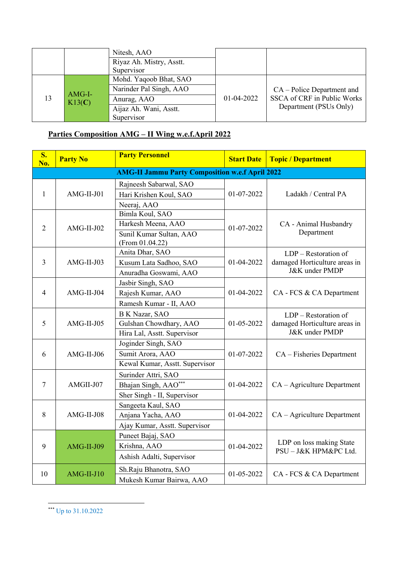|                  | Nitesh, AAO              |            |                              |
|------------------|--------------------------|------------|------------------------------|
|                  | Riyaz Ah. Mistry, Asstt. |            |                              |
|                  | Supervisor               |            |                              |
| AMG-I-<br>K13(C) | Mohd. Yaqoob Bhat, SAO   |            |                              |
|                  | Narinder Pal Singh, AAO  | 01-04-2022 | $CA - Police Department$ and |
|                  | Anurag, AAO              |            | SSCA of CRF in Public Works  |
|                  | Aijaz Ah. Wani, Asstt.   |            | Department (PSUs Only)       |
|                  | Supervisor               |            |                              |

## **Parties Composition AMG – II Wing w.e.f.April 2022**

| S.<br>No.      | <b>Party No</b>                                                                | <b>Party Personnel</b>                                                              | <b>Start Date</b> | <b>Topic / Department</b>                                                            |
|----------------|--------------------------------------------------------------------------------|-------------------------------------------------------------------------------------|-------------------|--------------------------------------------------------------------------------------|
|                |                                                                                | <b>AMG-II Jammu Party Composition w.e.f April 2022</b>                              |                   |                                                                                      |
| 1              | AMG-II-J01                                                                     | Rajneesh Sabarwal, SAO<br>Hari Krishen Koul, SAO<br>Neeraj, AAO                     | 01-07-2022        | Ladakh / Central PA                                                                  |
| $\overline{2}$ | $AMG-II-J02$                                                                   | Bimla Koul, SAO<br>Harkesh Meena, AAO<br>Sunil Kumar Sultan, AAO<br>(From 01.04.22) | 01-07-2022        | CA - Animal Husbandry<br>Department                                                  |
| $\overline{3}$ | $AMG-II-J03$                                                                   | Anita Dhar, SAO<br>Kusum Lata Sadhoo, SAO<br>Anuradha Goswami, AAO                  | 01-04-2022        | $LDP -$ Restoration of<br>damaged Horticulture areas in<br><b>J&amp;K</b> under PMDP |
| $\overline{4}$ | $AMG-II-J04$                                                                   | Jasbir Singh, SAO<br>Rajesh Kumar, AAO<br>Ramesh Kumar - II, AAO                    | 01-04-2022        | CA - FCS & CA Department                                                             |
| 5              | $AMG-II-J05$                                                                   | B K Nazar, SAO<br>Gulshan Chowdhary, AAO<br>Hira Lal, Asstt. Supervisor             |                   | LDP - Restoration of<br>damaged Horticulture areas in<br>J&K under PMDP              |
| 6              | $AMG-II-J06$                                                                   | Joginder Singh, SAO<br>Sumit Arora, AAO<br>Kewal Kumar, Asstt. Supervisor           | 01-07-2022        | CA - Fisheries Department                                                            |
| $\tau$         | AMGII-J07                                                                      | Surinder Attri, SAO<br>Bhajan Singh, AAO***<br>Sher Singh - II, Supervisor          | 01-04-2022        | CA - Agriculture Department                                                          |
| 8              | $AMG-II-J08$                                                                   | Sangeeta Kaul, SAO<br>Anjana Yacha, AAO<br>Ajay Kumar, Asstt. Supervisor            |                   | CA - Agriculture Department                                                          |
| 9              | Puneet Bajaj, SAO<br>Krishna, AAO<br>$AMG-II-J09$<br>Ashish Adalti, Supervisor |                                                                                     | 01-04-2022        | LDP on loss making State<br>PSU-J&K HPM&PC Ltd.                                      |
| 10             | $AMG-II-J10$                                                                   | Sh.Raju Bhanotra, SAO<br>Mukesh Kumar Bairwa, AAO                                   | 01-05-2022        | CA - FCS & CA Department                                                             |

<sup>\*\*\*</sup> Up to 31.10.2022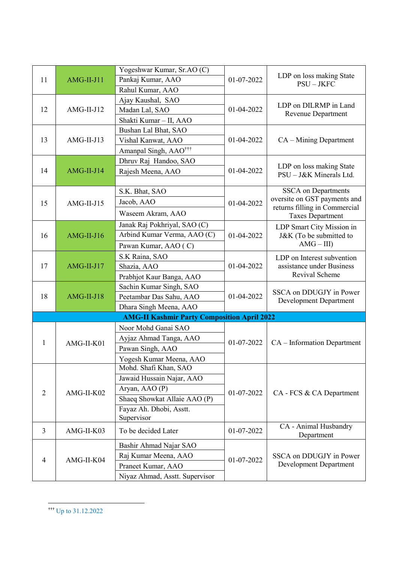|                |              | Yogeshwar Kumar, Sr.AO (C)                         |            |                                                          |  |
|----------------|--------------|----------------------------------------------------|------------|----------------------------------------------------------|--|
| 11             | AMG-II-J11   | Pankaj Kumar, AAO                                  | 01-07-2022 | LDP on loss making State<br>$PSU - JKFC$                 |  |
|                |              | Rahul Kumar, AAO                                   |            |                                                          |  |
|                |              | Ajay Kaushal, SAO                                  |            | LDP on DILRMP in Land                                    |  |
| 12             | $AMG-II-J12$ | Madan Lal, SAO                                     | 01-04-2022 | <b>Revenue Department</b>                                |  |
|                |              | Shakti Kumar - II, AAO                             |            |                                                          |  |
|                |              | Bushan Lal Bhat, SAO                               |            |                                                          |  |
| 13             | AMG-II-J13   | Vishal Kanwat, AAO                                 | 01-04-2022 | CA - Mining Department                                   |  |
|                |              | Amanpal Singh, AAO <sup>†††</sup>                  |            |                                                          |  |
|                |              | Dhruv Raj Handoo, SAO                              |            |                                                          |  |
| 14             | $AMG-II-J14$ | Rajesh Meena, AAO                                  | 01-04-2022 | LDP on loss making State<br>PSU - J&K Minerals Ltd.      |  |
|                |              |                                                    |            |                                                          |  |
|                |              | S.K. Bhat, SAO                                     |            | <b>SSCA</b> on Departments                               |  |
| 15             | $AMG-II-J15$ | Jacob, AAO                                         | 01-04-2022 | oversite on GST payments and                             |  |
|                |              | Waseem Akram, AAO                                  |            | returns filling in Commercial<br><b>Taxes Department</b> |  |
|                |              | Janak Raj Pokhriyal, SAO (C)                       |            | LDP Smart City Mission in                                |  |
| 16             | $AMG-II-J16$ | Arbind Kumar Verma, AAO (C)                        | 01-04-2022 | J&K (To be submitted to<br>$AMG - III$                   |  |
|                |              | Pawan Kumar, AAO (C)                               |            |                                                          |  |
|                |              | S.K Raina, SAO                                     |            | LDP on Interest subvention                               |  |
| 17             | AMG-II-J17   | Shazia, AAO                                        | 01-04-2022 | assistance under Business                                |  |
|                |              | Prabhjot Kaur Banga, AAO                           |            | Revival Scheme                                           |  |
|                | $AMG-II-J18$ | Sachin Kumar Singh, SAO                            | 01-04-2022 | SSCA on DDUGJY in Power<br><b>Development Department</b> |  |
| 18             |              | Peetambar Das Sahu, AAO                            |            |                                                          |  |
|                |              | Dhara Singh Meena, AAO                             |            |                                                          |  |
|                |              | <b>AMG-II Kashmir Party Composition April 2022</b> |            |                                                          |  |
|                |              | Noor Mohd Ganai SAO                                |            |                                                          |  |
| 1              | AMG-II-K01   | Ayjaz Ahmad Tanga, AAO                             | 01-07-2022 | CA – Information Department                              |  |
|                |              | Pawan Singh, AAO                                   |            |                                                          |  |
|                |              | Yogesh Kumar Meena, AAO                            |            |                                                          |  |
|                |              | Mohd. Shafi Khan, SAO                              |            |                                                          |  |
|                |              | Jawaid Hussain Najar, AAO                          |            |                                                          |  |
| $\overline{2}$ | AMG-II-K02   | Aryan, AAO (P)                                     | 01-07-2022 | CA - FCS & CA Department                                 |  |
|                |              | Shaeq Showkat Allaie AAO (P)                       |            |                                                          |  |
|                |              | Fayaz Ah. Dhobi, Asstt.                            |            |                                                          |  |
|                |              | Supervisor                                         |            |                                                          |  |
| 3              | AMG-II-K03   | To be decided Later                                | 01-07-2022 | CA - Animal Husbandry<br>Department                      |  |
|                |              | Bashir Ahmad Najar SAO                             |            |                                                          |  |
| 4              | AMG-II-K04   | Raj Kumar Meena, AAO                               | 01-07-2022 | SSCA on DDUGJY in Power                                  |  |
|                |              | Praneet Kumar, AAO                                 |            | Development Department                                   |  |
|                |              | Niyaz Ahmad, Asstt. Supervisor                     |            |                                                          |  |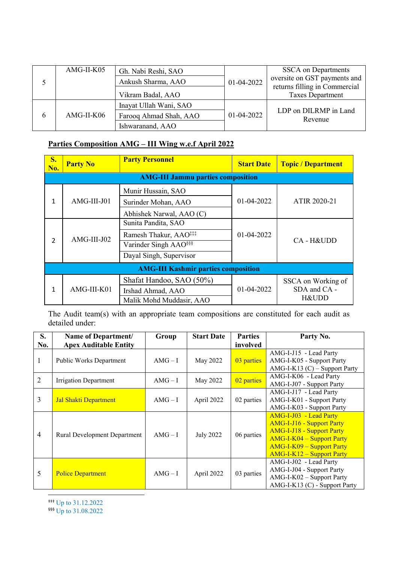|   | AMG-II-K05   | Gh. Nabi Reshi, SAO<br>Ankush Sharma, AAO | 01-04-2022 | <b>SSCA</b> on Departments<br>oversite on GST payments and<br>returns filling in Commercial |
|---|--------------|-------------------------------------------|------------|---------------------------------------------------------------------------------------------|
|   |              | Vikram Badal, AAO                         |            | <b>Taxes Department</b>                                                                     |
|   |              | Inayat Ullah Wani, SAO                    |            | LDP on DILRMP in Land                                                                       |
| 6 | $AMG-II-K06$ | Farooq Ahmad Shah, AAO                    | 01-04-2022 | Revenue                                                                                     |
|   |              | Ishwaranand, AAO                          |            |                                                                                             |

# **Parties Composition AMG – III Wing w.e.f April 2022**

| <b>S.</b><br>No. | <b>Party No</b> | <b>Party Personnel</b>                                                                                                   | <b>Start Date</b> | <b>Topic / Department</b>                   |
|------------------|-----------------|--------------------------------------------------------------------------------------------------------------------------|-------------------|---------------------------------------------|
|                  |                 | <b>AMG-III Jammu parties composition</b>                                                                                 |                   |                                             |
| 1                | AMG-III-J01     | Munir Hussain, SAO<br>Surinder Mohan, AAO<br>Abhishek Narwal, AAO (C)                                                    | $01-04-2022$      | ATIR 2020-21                                |
| $\overline{2}$   | AMG-III-J02     | Sunita Pandita, SAO<br>Ramesh Thakur, AAO <sup>‡‡‡</sup><br>Varinder Singh AAO <sup>§§§</sup><br>Dayal Singh, Supervisor | 01-04-2022        | CA-H&UDD                                    |
|                  |                 | <b>AMG-III Kashmir parties composition</b>                                                                               |                   |                                             |
| 1                | AMG-III-K01     | Shafat Handoo, SAO (50%)<br>Irshad Ahmad, AAO<br>Malik Mohd Muddasir, AAO                                                | 01-04-2022        | SSCA on Working of<br>SDA and CA -<br>H&UDD |

The Audit team(s) with an appropriate team compositions are constituted for each audit as detailed under:

| S.<br>No.      | Name of Department/<br><b>Apex Auditable Entity</b> | Group   | <b>Start Date</b> | <b>Parties</b><br>involved | Party No.                                                                                                                                                                                             |
|----------------|-----------------------------------------------------|---------|-------------------|----------------------------|-------------------------------------------------------------------------------------------------------------------------------------------------------------------------------------------------------|
|                | Public Works Department                             | $AMG-I$ | May 2022          | 03 parties                 | AMG-I-J15 - Lead Party<br>AMG-I-K05 - Support Party<br>AMG-I-K13 (C) - Support Party                                                                                                                  |
| 2              | Irrigation Department                               | $AMG-I$ | May 2022          | 02 parties                 | AMG-I-K06 - Lead Party<br>AMG-I-J07 - Support Party                                                                                                                                                   |
| 3              | Jal Shakti Department                               | $AMG-I$ | April 2022        | 02 parties                 | AMG-I-J17 - Lead Party<br>AMG-I-K01 - Support Party<br>AMG-I-K03 - Support Party                                                                                                                      |
| $\overline{4}$ | <b>Rural Development Department</b>                 | $AMG-I$ | <b>July 2022</b>  | 06 parties                 | AMG-I-J03 - Lead Party<br><b>AMG-I-J16 - Support Party</b><br><b>AMG-I-J18 - Support Party</b><br><b>AMG-I-K04 – Support Party</b><br><b>AMG-I-K09 - Support Party</b><br>$AMG-I-K12 - Support Party$ |
| 5              | <b>Police Department</b>                            | $AMG-I$ | April 2022        | 03 parties                 | AMG-I-J02 - Lead Party<br>AMG-I-J04 - Support Party<br>AMG-I-K02 - Support Party<br>AMG-I-K13 (C) - Support Party                                                                                     |
|                |                                                     |         |                   |                            |                                                                                                                                                                                                       |

‡‡‡ Up to 31.12.2022

§§§ Up to 31.08.2022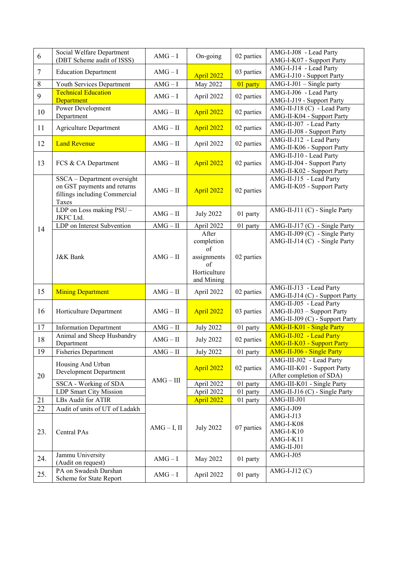| 6         | Social Welfare Department<br>(DBT Scheme audit of ISSS)                                              | $AMG-I$        | On-going                                                                     | 02 parties | AMG-I-J08 - Lead Party<br>AMG-I-K07 - Support Party                                     |
|-----------|------------------------------------------------------------------------------------------------------|----------------|------------------------------------------------------------------------------|------------|-----------------------------------------------------------------------------------------|
| $\tau$    | <b>Education Department</b>                                                                          | $AMG-I$        | April 2022                                                                   | 03 parties | AMG-I-J14 - Lead Party<br>AMG-I-J10 - Support Party                                     |
| $8\,$     | Youth Services Department                                                                            | $AMG-I$        | May 2022                                                                     | 01 party   | $AMG-I-J01$ – Single party                                                              |
| 9         | <b>Technical Education</b><br>Department                                                             | $AMG-I$        | April 2022                                                                   | 02 parties | AMG-I-J06 - Lead Party<br>AMG-I-J19 - Support Party                                     |
| 10        | Power Development<br>Department                                                                      | $AMG - II$     | April 2022                                                                   | 02 parties | AMG-II-J18 (C) - Lead Party<br>AMG-II-K04 - Support Party                               |
| 11        | <b>Agriculture Department</b>                                                                        | $AMG - II$     | April 2022                                                                   | 02 parties | AMG-II-J07 - Lead Party<br>AMG-II-J08 - Support Party                                   |
| 12        | <b>Land Revenue</b>                                                                                  | $AMG - II$     | April 2022                                                                   | 02 parties | AMG-II-J12 - Lead Party<br>AMG-II-K06 - Support Party                                   |
| 13        | FCS & CA Department                                                                                  | AMG – II       | April 2022                                                                   | 02 parties | AMG-II-J10 - Lead Party<br>AMG-II-J04 - Support Party<br>AMG-II-K02 - Support Party     |
|           | SSCA - Department oversight<br>on GST payments and returns<br>fillings including Commercial<br>Taxes | AMG – II       | April 2022                                                                   | 02 parties | AMG-II-J15 - Lead Party<br>AMG-II-K05 - Support Party                                   |
|           | LDP on Loss making PSU -<br>JKFC Ltd.                                                                | $AMG - II$     | <b>July 2022</b>                                                             | 01 party   | AMG-II-J11 (C) - Single Party                                                           |
| 14        | LDP on Interest Subvention                                                                           | $AMG - II$     | April 2022                                                                   | 01 party   | AMG-II-J17 (C) - Single Party                                                           |
|           | <b>J&amp;K</b> Bank                                                                                  | $AMG - II$     | After<br>completion<br>of<br>assignments<br>of<br>Horticulture<br>and Mining | 02 parties | AMG-II-J09 (C) - Single Party<br>AMG-II-J14 (C) - Single Party                          |
|           |                                                                                                      |                |                                                                              |            |                                                                                         |
| 15        | <b>Mining Department</b>                                                                             | $AMG - II$     | April 2022                                                                   | 02 parties | AMG-II-J13 - Lead Party<br>AMG-II-J14 (C) - Support Party                               |
| 16        | Horticulture Department                                                                              | $AMG - II$     | April 2022                                                                   | 03 parties | AMG-II-J05 - Lead Party<br>AMG-II-J03 - Support Party<br>AMG-II-J09 (C) - Support Party |
| 17        | <b>Information Department</b>                                                                        | $AMG - II$     | <b>July 2022</b>                                                             | 01 party   | <b>AMG-II-K01 - Single Party</b>                                                        |
| 18        | Animal and Sheep Husbandry<br>Department                                                             | $AMG - II$     | <b>July 2022</b>                                                             | 02 parties | AMG-II-J02 - Lead Party<br><b>AMG-II-K03 - Support Party</b>                            |
| 19        | <b>Fisheries Department</b>                                                                          | $AMG - II$     | <b>July 2022</b>                                                             | 01 party   | <b>AMG-II-J06 - Single Party</b>                                                        |
| 20        | Housing And Urban<br>Development Department                                                          |                | April 2022                                                                   | 02 parties | AMG-III-J02 - Lead Party<br>AMG-III-K01 - Support Party<br>(After completion of SDA)    |
|           | SSCA - Working of SDA                                                                                | $AMG - III$    | April 2022                                                                   | 01 party   | AMG-III-K01 - Single Party                                                              |
|           | <b>LDP Smart City Mission</b>                                                                        |                | April 2022                                                                   | 01 party   | AMG-II-J16 (C) - Single Party                                                           |
| 21        | LBs Audit for ATIR                                                                                   |                | April 2022                                                                   | 01 party   | AMG-III-J01                                                                             |
| 22<br>23. | Audit of units of UT of Ladakh<br>Central PAs                                                        | $AMG - I$ , II | <b>July 2022</b>                                                             | 07 parties | $AMG-I-J09$<br>$AMG-I-J13$<br>AMG-I-K08<br>$AMG-I-K10$<br>AMG-I-K11<br>AMG-II-J01       |
| 24.       | Jammu University<br>(Audit on request)<br>PA on Swadesh Darshan                                      | $AMG-I$        | May 2022                                                                     | 01 party   | $AMG-I-J05$<br>AMG-I-J12 $(C)$                                                          |